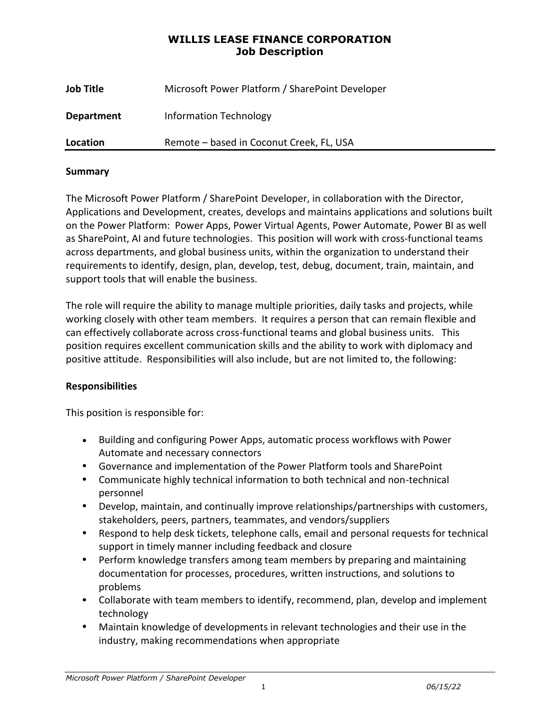### **WILLIS LEASE FINANCE CORPORATION Job Description**

| <b>Job Title</b>  | Microsoft Power Platform / SharePoint Developer |
|-------------------|-------------------------------------------------|
| <b>Department</b> | <b>Information Technology</b>                   |
| Location          | Remote - based in Coconut Creek, FL, USA        |

#### **Summary**

The Microsoft Power Platform / SharePoint Developer, in collaboration with the Director, Applications and Development, creates, develops and maintains applications and solutions built on the Power Platform: Power Apps, Power Virtual Agents, Power Automate, Power BI as well as SharePoint, AI and future technologies. This position will work with cross-functional teams across departments, and global business units, within the organization to understand their requirements to identify, design, plan, develop, test, debug, document, train, maintain, and support tools that will enable the business.

The role will require the ability to manage multiple priorities, daily tasks and projects, while working closely with other team members. It requires a person that can remain flexible and can effectively collaborate across cross-functional teams and global business units. This position requires excellent communication skills and the ability to work with diplomacy and positive attitude. Responsibilities will also include, but are not limited to, the following:

### **Responsibilities**

This position is responsible for:

- Building and configuring Power Apps, automatic process workflows with Power Automate and necessary connectors
- Governance and implementation of the Power Platform tools and SharePoint
- Communicate highly technical information to both technical and non-technical personnel
- Develop, maintain, and continually improve relationships/partnerships with customers, stakeholders, peers, partners, teammates, and vendors/suppliers
- Respond to help desk tickets, telephone calls, email and personal requests for technical support in timely manner including feedback and closure
- Perform knowledge transfers among team members by preparing and maintaining documentation for processes, procedures, written instructions, and solutions to problems
- Collaborate with team members to identify, recommend, plan, develop and implement technology
- Maintain knowledge of developments in relevant technologies and their use in the industry, making recommendations when appropriate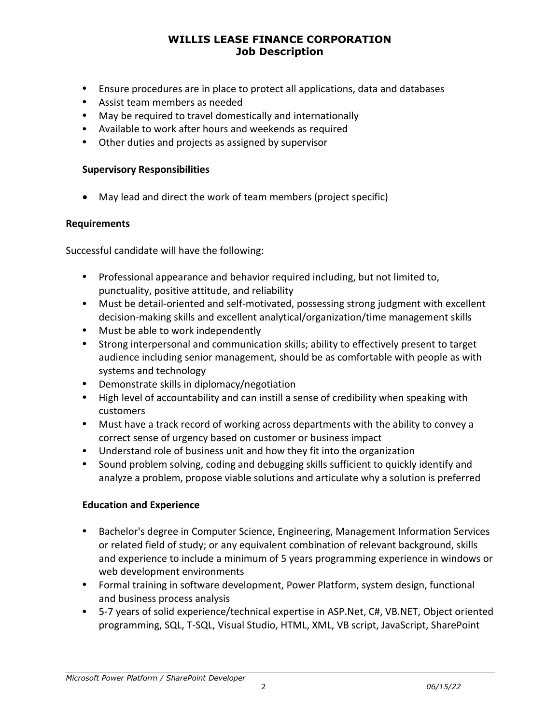## **WILLIS LEASE FINANCE CORPORATION Job Description**

- Ensure procedures are in place to protect all applications, data and databases
- Assist team members as needed
- May be required to travel domestically and internationally
- Available to work after hours and weekends as required
- Other duties and projects as assigned by supervisor

#### **Supervisory Responsibilities**

• May lead and direct the work of team members (project specific)

#### **Requirements**

Successful candidate will have the following:

- Professional appearance and behavior required including, but not limited to, punctuality, positive attitude, and reliability
- Must be detail-oriented and self-motivated, possessing strong judgment with excellent decision-making skills and excellent analytical/organization/time management skills
- Must be able to work independently
- Strong interpersonal and communication skills; ability to effectively present to target audience including senior management, should be as comfortable with people as with systems and technology
- Demonstrate skills in diplomacy/negotiation
- High level of accountability and can instill a sense of credibility when speaking with customers
- Must have a track record of working across departments with the ability to convey a correct sense of urgency based on customer or business impact
- Understand role of business unit and how they fit into the organization
- Sound problem solving, coding and debugging skills sufficient to quickly identify and analyze a problem, propose viable solutions and articulate why a solution is preferred

### **Education and Experience**

- Bachelor's degree in Computer Science, Engineering, Management Information Services or related field of study; or any equivalent combination of relevant background, skills and experience to include a minimum of 5 years programming experience in windows or web development environments
- Formal training in software development, Power Platform, system design, functional and business process analysis
- 5-7 years of solid experience/technical expertise in ASP.Net, C#, VB.NET, Object oriented programming, SQL, T-SQL, Visual Studio, HTML, XML, VB script, JavaScript, SharePoint